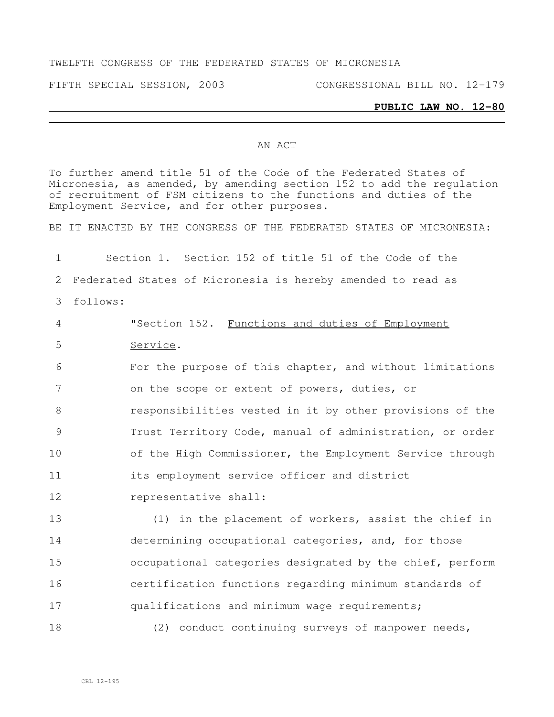#### TWELFTH CONGRESS OF THE FEDERATED STATES OF MICRONESIA

FIFTH SPECIAL SESSION, 2003 CONGRESSIONAL BILL NO. 12-179

### **PUBLIC LAW NO. 12-80**

### AN ACT

To further amend title 51 of the Code of the Federated States of Micronesia, as amended, by amending section 152 to add the regulation of recruitment of FSM citizens to the functions and duties of the Employment Service, and for other purposes. BE IT ENACTED BY THE CONGRESS OF THE FEDERATED STATES OF MICRONESIA: Section 1. Section 152 of title 51 of the Code of the Federated States of Micronesia is hereby amended to read as follows: "Section 152. Functions and duties of Employment Service. For the purpose of this chapter, and without limitations on the scope or extent of powers, duties, or responsibilities vested in it by other provisions of the Trust Territory Code, manual of administration, or order of the High Commissioner, the Employment Service through its employment service officer and district representative shall: (1) in the placement of workers, assist the chief in determining occupational categories, and, for those occupational categories designated by the chief, perform certification functions regarding minimum standards of 17 qualifications and minimum wage requirements; (2) conduct continuing surveys of manpower needs,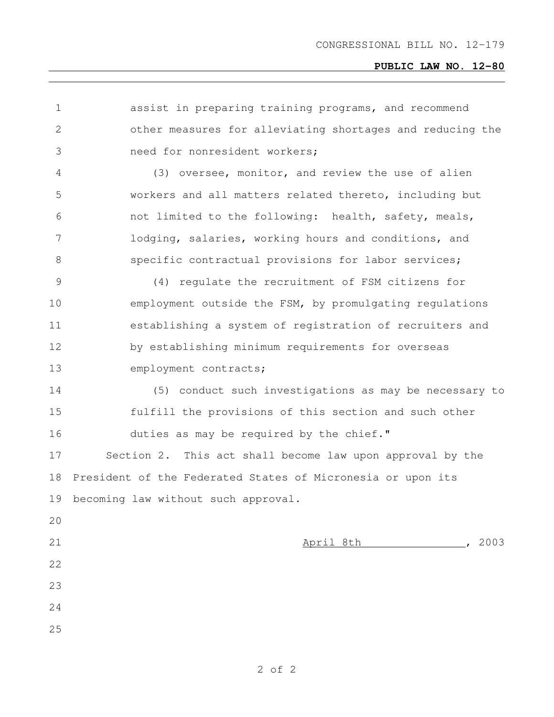# **PUBLIC LAW NO. 12-80**

| 1             | assist in preparing training programs, and recommend        |
|---------------|-------------------------------------------------------------|
| 2             | other measures for alleviating shortages and reducing the   |
| 3             | need for nonresident workers;                               |
| 4             | (3) oversee, monitor, and review the use of alien           |
| 5             | workers and all matters related thereto, including but      |
| 6             | not limited to the following: health, safety, meals,        |
| 7             | lodging, salaries, working hours and conditions, and        |
| 8             | specific contractual provisions for labor services;         |
| $\mathcal{G}$ | (4) regulate the recruitment of FSM citizens for            |
| 10            | employment outside the FSM, by promulgating regulations     |
| 11            | establishing a system of registration of recruiters and     |
| 12            | by establishing minimum requirements for overseas           |
| 13            | employment contracts;                                       |
| 14            | (5) conduct such investigations as may be necessary to      |
| 15            | fulfill the provisions of this section and such other       |
| 16            | duties as may be required by the chief."                    |
| 17            | Section 2. This act shall become law upon approval by the   |
| 18            | President of the Federated States of Micronesia or upon its |
| 19            | becoming law without such approval.                         |
| 20            |                                                             |
| 21            | , 2003<br>April 8th                                         |
| 22            |                                                             |
| 23            |                                                             |
| 24            |                                                             |
| 25            |                                                             |
|               |                                                             |